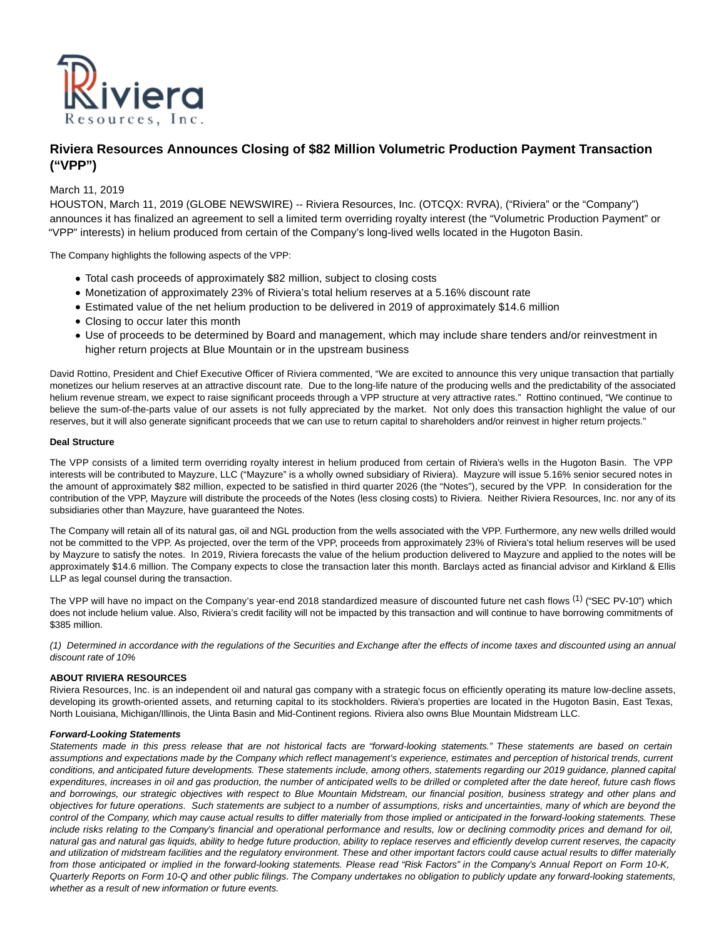

# **Riviera Resources Announces Closing of \$82 Million Volumetric Production Payment Transaction ("VPP")**

# March 11, 2019

HOUSTON, March 11, 2019 (GLOBE NEWSWIRE) -- Riviera Resources, Inc. (OTCQX: RVRA), ("Riviera" or the "Company") announces it has finalized an agreement to sell a limited term overriding royalty interest (the "Volumetric Production Payment" or "VPP" interests) in helium produced from certain of the Company's long-lived wells located in the Hugoton Basin.

The Company highlights the following aspects of the VPP:

- Total cash proceeds of approximately \$82 million, subject to closing costs
- Monetization of approximately 23% of Riviera's total helium reserves at a 5.16% discount rate
- Estimated value of the net helium production to be delivered in 2019 of approximately \$14.6 million
- Closing to occur later this month
- Use of proceeds to be determined by Board and management, which may include share tenders and/or reinvestment in higher return projects at Blue Mountain or in the upstream business

David Rottino, President and Chief Executive Officer of Riviera commented, "We are excited to announce this very unique transaction that partially monetizes our helium reserves at an attractive discount rate. Due to the long-life nature of the producing wells and the predictability of the associated helium revenue stream, we expect to raise significant proceeds through a VPP structure at very attractive rates." Rottino continued, "We continue to believe the sum-of-the-parts value of our assets is not fully appreciated by the market. Not only does this transaction highlight the value of our reserves, but it will also generate significant proceeds that we can use to return capital to shareholders and/or reinvest in higher return projects."

## **Deal Structure**

The VPP consists of a limited term overriding royalty interest in helium produced from certain of Riviera's wells in the Hugoton Basin. The VPP interests will be contributed to Mayzure, LLC ("Mayzure" is a wholly owned subsidiary of Riviera). Mayzure will issue 5.16% senior secured notes in the amount of approximately \$82 million, expected to be satisfied in third quarter 2026 (the "Notes"), secured by the VPP. In consideration for the contribution of the VPP, Mayzure will distribute the proceeds of the Notes (less closing costs) to Riviera. Neither Riviera Resources, Inc. nor any of its subsidiaries other than Mayzure, have guaranteed the Notes.

The Company will retain all of its natural gas, oil and NGL production from the wells associated with the VPP. Furthermore, any new wells drilled would not be committed to the VPP. As projected, over the term of the VPP, proceeds from approximately 23% of Riviera's total helium reserves will be used by Mayzure to satisfy the notes. In 2019, Riviera forecasts the value of the helium production delivered to Mayzure and applied to the notes will be approximately \$14.6 million. The Company expects to close the transaction later this month. Barclays acted as financial advisor and Kirkland & Ellis LLP as legal counsel during the transaction.

The VPP will have no impact on the Company's year-end 2018 standardized measure of discounted future net cash flows <sup>(1)</sup> ("SEC PV-10") which does not include helium value. Also, Riviera's credit facility will not be impacted by this transaction and will continue to have borrowing commitments of \$385 million.

(1) Determined in accordance with the regulations of the Securities and Exchange after the effects of income taxes and discounted using an annual discount rate of 10%

## **ABOUT RIVIERA RESOURCES**

Riviera Resources, Inc. is an independent oil and natural gas company with a strategic focus on efficiently operating its mature low-decline assets, developing its growth-oriented assets, and returning capital to its stockholders. Riviera's properties are located in the Hugoton Basin, East Texas, North Louisiana, Michigan/Illinois, the Uinta Basin and Mid-Continent regions. Riviera also owns Blue Mountain Midstream LLC.

## **Forward-Looking Statements**

Statements made in this press release that are not historical facts are "forward-looking statements." These statements are based on certain assumptions and expectations made by the Company which reflect management's experience, estimates and perception of historical trends, current conditions, and anticipated future developments. These statements include, among others, statements regarding our 2019 guidance, planned capital expenditures, increases in oil and gas production, the number of anticipated wells to be drilled or completed after the date hereof, future cash flows and borrowings, our strategic objectives with respect to Blue Mountain Midstream, our financial position, business strategy and other plans and objectives for future operations. Such statements are subject to a number of assumptions, risks and uncertainties, many of which are beyond the control of the Company, which may cause actual results to differ materially from those implied or anticipated in the forward-looking statements. These include risks relating to the Company's financial and operational performance and results, low or declining commodity prices and demand for oil, natural gas and natural gas liquids, ability to hedge future production, ability to replace reserves and efficiently develop current reserves, the capacity and utilization of midstream facilities and the regulatory environment. These and other important factors could cause actual results to differ materially from those anticipated or implied in the forward-looking statements. Please read "Risk Factors" in the Company's Annual Report on Form 10-K, Quarterly Reports on Form 10-Q and other public filings. The Company undertakes no obligation to publicly update any forward-looking statements, whether as a result of new information or future events.